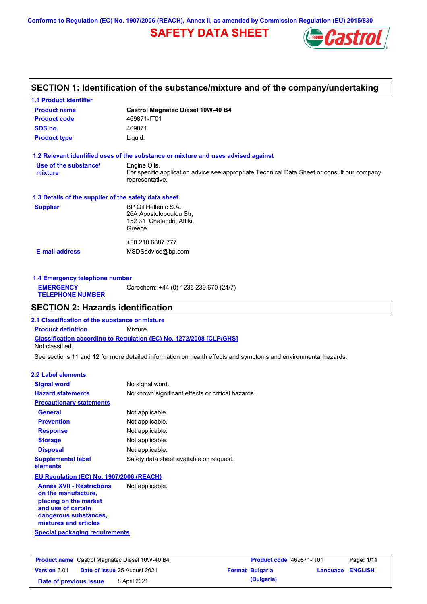**Conforms to Regulation (EC) No. 1907/2006 (REACH), Annex II, as amended by Commission Regulation (EU) 2015/830**

# **SAFETY DATA SHEET**



### **SECTION 1: Identification of the substance/mixture and of the company/undertaking**

| <b>1.1 Product identifier</b>                        |                                                                                                                |
|------------------------------------------------------|----------------------------------------------------------------------------------------------------------------|
| <b>Product name</b>                                  | <b>Castrol Magnatec Diesel 10W-40 B4</b>                                                                       |
| <b>Product code</b>                                  | 469871-IT01                                                                                                    |
| SDS no.                                              | 469871                                                                                                         |
| <b>Product type</b>                                  | Liquid.                                                                                                        |
|                                                      | 1.2 Relevant identified uses of the substance or mixture and uses advised against                              |
| Use of the substance/                                | Engine Oils.                                                                                                   |
| mixture                                              | For specific application advice see appropriate Technical Data Sheet or consult our company<br>representative. |
| 1.3 Details of the supplier of the safety data sheet |                                                                                                                |
| <b>Supplier</b>                                      | BP Oil Hellenic S.A.                                                                                           |
|                                                      | 26A Apostolopoulou Str.                                                                                        |
|                                                      | 152 31 Chalandri, Attiki,                                                                                      |
|                                                      | Greece                                                                                                         |
|                                                      | +30 210 6887 777                                                                                               |
| <b>E-mail address</b>                                | MSDSadvice@bp.com                                                                                              |
|                                                      |                                                                                                                |
|                                                      |                                                                                                                |

**1.4 Emergency telephone number EMERGENCY TELEPHONE NUMBER** Carechem: +44 (0) 1235 239 670 (24/7)

### **SECTION 2: Hazards identification**

**Classification according to Regulation (EC) No. 1272/2008 [CLP/GHS] 2.1 Classification of the substance or mixture Product definition** Mixture Not classified.

See sections 11 and 12 for more detailed information on health effects and symptoms and environmental hazards.

### **2.2 Label elements**

| <b>Signal word</b>                                      | No signal word.                                   |
|---------------------------------------------------------|---------------------------------------------------|
| <b>Hazard statements</b>                                | No known significant effects or critical hazards. |
| <b>Precautionary statements</b>                         |                                                   |
| <b>General</b>                                          | Not applicable.                                   |
| <b>Prevention</b>                                       | Not applicable.                                   |
| <b>Response</b>                                         | Not applicable.                                   |
| <b>Storage</b>                                          | Not applicable.                                   |
| <b>Disposal</b>                                         | Not applicable.                                   |
| <b>Supplemental label</b><br>elements                   | Safety data sheet available on request.           |
| EU Regulation (EC) No. 1907/2006 (REACH)                |                                                   |
| <b>Annex XVII - Restrictions</b><br>on the manufacture, | Not applicable.                                   |

**placing on the market and use of certain dangerous substances, mixtures and articles**

**Special packaging requirements**

| <b>Product name</b> Castrol Magnatec Diesel 10W-40 B4 |  | <b>Product code</b> 469871-IT01     |  | Page: 1/11             |                         |  |
|-------------------------------------------------------|--|-------------------------------------|--|------------------------|-------------------------|--|
| <b>Version 6.01</b>                                   |  | <b>Date of issue 25 August 2021</b> |  | <b>Format Bulgaria</b> | <b>Language ENGLISH</b> |  |
| Date of previous issue                                |  | 8 April 2021.                       |  | (Bulgaria)             |                         |  |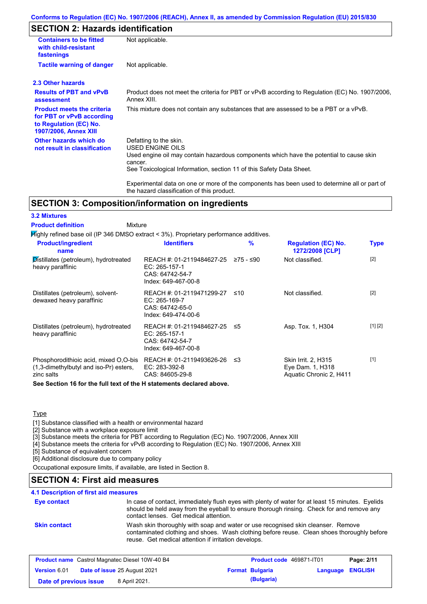### **Conforms to Regulation (EC) No. 1907/2006 (REACH), Annex II, as amended by Commission Regulation (EU) 2015/830**

# **SECTION 2: Hazards identification**

| <b>Containers to be fitted</b><br>with child-resistant<br>fastenings                                                     | Not applicable.                                                                                                                                                                                                                 |
|--------------------------------------------------------------------------------------------------------------------------|---------------------------------------------------------------------------------------------------------------------------------------------------------------------------------------------------------------------------------|
| <b>Tactile warning of danger</b>                                                                                         | Not applicable.                                                                                                                                                                                                                 |
| 2.3 Other hazards                                                                                                        |                                                                                                                                                                                                                                 |
| <b>Results of PBT and vPvB</b><br>assessment                                                                             | Product does not meet the criteria for PBT or vPvB according to Regulation (EC) No. 1907/2006,<br>Annex XIII.                                                                                                                   |
| <b>Product meets the criteria</b><br>for PBT or vPvB according<br>to Regulation (EC) No.<br><b>1907/2006, Annex XIII</b> | This mixture does not contain any substances that are assessed to be a PBT or a vPvB.                                                                                                                                           |
| Other hazards which do<br>not result in classification                                                                   | Defatting to the skin.<br><b>USED ENGINE OILS</b><br>Used engine oil may contain hazardous components which have the potential to cause skin<br>cancer.<br>See Toxicological Information, section 11 of this Safety Data Sheet. |
|                                                                                                                          | Experimental data on one or more of the components has been used to determine all or part of<br>the hazard classification of this product.                                                                                      |

# **SECTION 3: Composition/information on ingredients**

| Mixture<br><b>Product definition</b>                                                          |                                                                                                |     |                                                                    |             |
|-----------------------------------------------------------------------------------------------|------------------------------------------------------------------------------------------------|-----|--------------------------------------------------------------------|-------------|
| Mighly refined base oil (IP 346 DMSO extract < 3%). Proprietary performance additives.        |                                                                                                |     |                                                                    |             |
| <b>Product/ingredient</b><br>name                                                             | <b>Identifiers</b>                                                                             | %   | <b>Regulation (EC) No.</b><br>1272/2008 [CLP]                      | <b>Type</b> |
| Distillates (petroleum), hydrotreated<br>heavy paraffinic                                     | REACH #: 01-2119484627-25 ≥75 - ≤90<br>EC: 265-157-1<br>CAS: 64742-54-7<br>Index: 649-467-00-8 |     | Not classified.                                                    | $[2]$       |
| Distillates (petroleum), solvent-<br>dewaxed heavy paraffinic                                 | REACH #: 01-2119471299-27<br>EC: 265-169-7<br>CAS: 64742-65-0<br>Index: 649-474-00-6           | ≤10 | Not classified.                                                    | $[2]$       |
| Distillates (petroleum), hydrotreated<br>heavy paraffinic                                     | REACH #: 01-2119484627-25 ≤5<br>EC: 265-157-1<br>CAS: 64742-54-7<br>Index: 649-467-00-8        |     | Asp. Tox. 1, H304                                                  | [1] [2]     |
| Phosphorodithioic acid, mixed O,O-bis<br>(1,3-dimethylbutyl and iso-Pr) esters,<br>zinc salts | REACH #: 01-2119493626-26 ≤3<br>EC: 283-392-8<br>CAS: 84605-29-8                               |     | Skin Irrit. 2, H315<br>Eye Dam. 1, H318<br>Aquatic Chronic 2, H411 | $[1]$       |
| See Section 16 for the full text of the H statements declared above.                          |                                                                                                |     |                                                                    |             |

#### **Type**

**3.2 Mixtures**

[1] Substance classified with a health or environmental hazard

[2] Substance with a workplace exposure limit

[3] Substance meets the criteria for PBT according to Regulation (EC) No. 1907/2006, Annex XIII

[4] Substance meets the criteria for vPvB according to Regulation (EC) No. 1907/2006, Annex XIII

[5] Substance of equivalent concern

[6] Additional disclosure due to company policy

Occupational exposure limits, if available, are listed in Section 8.

### **SECTION 4: First aid measures**

|  | 4.1 Description of first aid measures |  |  |  |
|--|---------------------------------------|--|--|--|
|--|---------------------------------------|--|--|--|

| Eye contact         | In case of contact, immediately flush eyes with plenty of water for at least 15 minutes. Eyelids<br>should be held away from the eyeball to ensure thorough rinsing. Check for and remove any<br>contact lenses. Get medical attention. |
|---------------------|-----------------------------------------------------------------------------------------------------------------------------------------------------------------------------------------------------------------------------------------|
| <b>Skin contact</b> | Wash skin thoroughly with soap and water or use recognised skin cleanser. Remove<br>contaminated clothing and shoes. Wash clothing before reuse. Clean shoes thoroughly before<br>reuse. Get medical attention if irritation develops.  |

| <b>Product name</b> Castrol Magnatec Diesel 10W-40 B4 |                                     | Product code 469871-IT01 |                         | Page: 2/11 |
|-------------------------------------------------------|-------------------------------------|--------------------------|-------------------------|------------|
| <b>Version 6.01</b>                                   | <b>Date of issue 25 August 2021</b> | <b>Format Bulgaria</b>   | <b>Language ENGLISH</b> |            |
| Date of previous issue                                | 8 April 2021.                       | (Bulgaria)               |                         |            |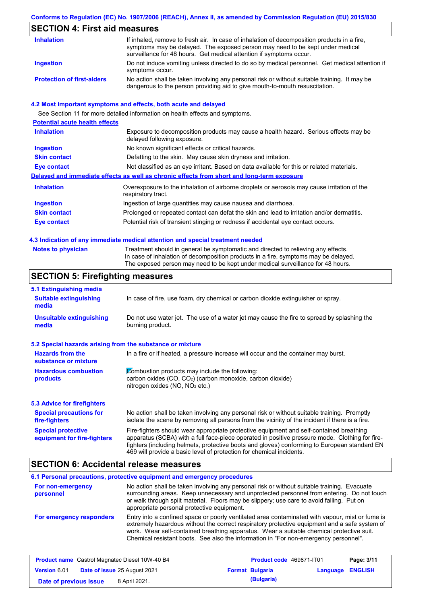## **Conforms to Regulation (EC) No. 1907/2006 (REACH), Annex II, as amended by Commission Regulation (EU) 2015/830**

# **SECTION 4: First aid measures**

| <b>Inhalation</b>                 | If inhaled, remove to fresh air. In case of inhalation of decomposition products in a fire,<br>symptoms may be delayed. The exposed person may need to be kept under medical<br>surveillance for 48 hours. Get medical attention if symptoms occur. |
|-----------------------------------|-----------------------------------------------------------------------------------------------------------------------------------------------------------------------------------------------------------------------------------------------------|
| Ingestion                         | Do not induce vomiting unless directed to do so by medical personnel. Get medical attention if<br>symptoms occur.                                                                                                                                   |
| <b>Protection of first-aiders</b> | No action shall be taken involving any personal risk or without suitable training. It may be<br>dangerous to the person providing aid to give mouth-to-mouth resuscitation.                                                                         |

### **4.2 Most important symptoms and effects, both acute and delayed**

See Section 11 for more detailed information on health effects and symptoms.

| <b>Potential acute health effects</b> |                                                                                                                     |
|---------------------------------------|---------------------------------------------------------------------------------------------------------------------|
| <b>Inhalation</b>                     | Exposure to decomposition products may cause a health hazard. Serious effects may be<br>delayed following exposure. |
| <b>Ingestion</b>                      | No known significant effects or critical hazards.                                                                   |
| <b>Skin contact</b>                   | Defatting to the skin. May cause skin dryness and irritation.                                                       |
| Eye contact                           | Not classified as an eye irritant. Based on data available for this or related materials.                           |
|                                       | Delayed and immediate effects as well as chronic effects from short and long-term exposure                          |
| <b>Inhalation</b>                     | Overexposure to the inhalation of airborne droplets or aerosols may cause irritation of the<br>respiratory tract.   |
| <b>Ingestion</b>                      | Ingestion of large quantities may cause nausea and diarrhoea.                                                       |
| <b>Skin contact</b>                   | Prolonged or repeated contact can defat the skin and lead to irritation and/or dermatitis.                          |
| Eye contact                           | Potential risk of transient stinging or redness if accidental eye contact occurs.                                   |
|                                       |                                                                                                                     |

#### **4.3 Indication of any immediate medical attention and special treatment needed**

| Notes to physician | Treatment should in general be symptomatic and directed to relieving any effects.   |
|--------------------|-------------------------------------------------------------------------------------|
|                    | In case of inhalation of decomposition products in a fire, symptoms may be delayed. |
|                    | The exposed person may need to be kept under medical surveillance for 48 hours.     |

# **SECTION 5: Firefighting measures**

| 5.1 Extinguishing media                                                                                                                                                                                     |                                                                                                                                                                                                                                                                                                                                                                   |
|-------------------------------------------------------------------------------------------------------------------------------------------------------------------------------------------------------------|-------------------------------------------------------------------------------------------------------------------------------------------------------------------------------------------------------------------------------------------------------------------------------------------------------------------------------------------------------------------|
| <b>Suitable extinguishing</b><br>media                                                                                                                                                                      | In case of fire, use foam, dry chemical or carbon dioxide extinguisher or spray.                                                                                                                                                                                                                                                                                  |
| Do not use water jet. The use of a water jet may cause the fire to spread by splashing the<br><b>Unsuitable extinguishing</b><br>burning product.<br>media                                                  |                                                                                                                                                                                                                                                                                                                                                                   |
| 5.2 Special hazards arising from the substance or mixture                                                                                                                                                   |                                                                                                                                                                                                                                                                                                                                                                   |
| <b>Hazards from the</b><br>substance or mixture                                                                                                                                                             | In a fire or if heated, a pressure increase will occur and the container may burst.                                                                                                                                                                                                                                                                               |
| Combustion products may include the following:<br><b>Hazardous combustion</b><br>carbon oxides (CO, CO <sub>2</sub> ) (carbon monoxide, carbon dioxide)<br>products<br>nitrogen oxides ( $NO$ , $NO2$ etc.) |                                                                                                                                                                                                                                                                                                                                                                   |
| 5.3 Advice for firefighters                                                                                                                                                                                 |                                                                                                                                                                                                                                                                                                                                                                   |
| <b>Special precautions for</b><br>fire-fighters                                                                                                                                                             | No action shall be taken involving any personal risk or without suitable training. Promptly<br>isolate the scene by removing all persons from the vicinity of the incident if there is a fire.                                                                                                                                                                    |
| <b>Special protective</b><br>equipment for fire-fighters                                                                                                                                                    | Fire-fighters should wear appropriate protective equipment and self-contained breathing<br>apparatus (SCBA) with a full face-piece operated in positive pressure mode. Clothing for fire-<br>fighters (including helmets, protective boots and gloves) conforming to European standard EN<br>469 will provide a basic level of protection for chemical incidents. |

### **SECTION 6: Accidental release measures**

| For non-emergency<br>personnel | No action shall be taken involving any personal risk or without suitable training. Evacuate<br>surrounding areas. Keep unnecessary and unprotected personnel from entering. Do not touch<br>or walk through spilt material. Floors may be slippery; use care to avoid falling. Put on<br>appropriate personal protective equipment.                                                  |
|--------------------------------|--------------------------------------------------------------------------------------------------------------------------------------------------------------------------------------------------------------------------------------------------------------------------------------------------------------------------------------------------------------------------------------|
| For emergency responders       | Entry into a confined space or poorly ventilated area contaminated with vapour, mist or fume is<br>extremely hazardous without the correct respiratory protective equipment and a safe system of<br>work. Wear self-contained breathing apparatus. Wear a suitable chemical protective suit.<br>Chemical resistant boots. See also the information in "For non-emergency personnel". |

|                        | <b>Product name</b> Castrol Magnatec Diesel 10W-40 B4 | Product code 469871-IT01 |                         | Page: 3/11 |
|------------------------|-------------------------------------------------------|--------------------------|-------------------------|------------|
| <b>Version 6.01</b>    | <b>Date of issue 25 August 2021</b>                   | <b>Format Bulgaria</b>   | <b>Language ENGLISH</b> |            |
| Date of previous issue | 8 April 2021.                                         | (Bulgaria)               |                         |            |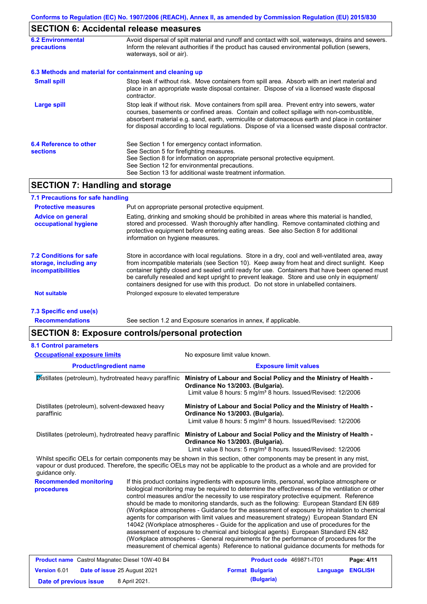# **SECTION 6: Accidental release measures**

| <b>6.2 Environmental</b><br>precautions   | Avoid dispersal of spilt material and runoff and contact with soil, waterways, drains and sewers.<br>Inform the relevant authorities if the product has caused environmental pollution (sewers,<br>waterways, soil or air).                                                                                                                                                                    |
|-------------------------------------------|------------------------------------------------------------------------------------------------------------------------------------------------------------------------------------------------------------------------------------------------------------------------------------------------------------------------------------------------------------------------------------------------|
|                                           | 6.3 Methods and material for containment and cleaning up                                                                                                                                                                                                                                                                                                                                       |
| <b>Small spill</b>                        | Stop leak if without risk. Move containers from spill area. Absorb with an inert material and<br>place in an appropriate waste disposal container. Dispose of via a licensed waste disposal<br>contractor.                                                                                                                                                                                     |
| <b>Large spill</b>                        | Stop leak if without risk. Move containers from spill area. Prevent entry into sewers, water<br>courses, basements or confined areas. Contain and collect spillage with non-combustible,<br>absorbent material e.g. sand, earth, vermiculite or diatomaceous earth and place in container<br>for disposal according to local regulations. Dispose of via a licensed waste disposal contractor. |
| 6.4 Reference to other<br><b>sections</b> | See Section 1 for emergency contact information.<br>See Section 5 for firefighting measures.<br>See Section 8 for information on appropriate personal protective equipment.<br>See Section 12 for environmental precautions.<br>See Section 13 for additional waste treatment information.                                                                                                     |

# **SECTION 7: Handling and storage**

| 7.1 Precautions for safe handling                                                    |                                                                                                                                                                                                                                                                                                                                                                                                                                                                                          |
|--------------------------------------------------------------------------------------|------------------------------------------------------------------------------------------------------------------------------------------------------------------------------------------------------------------------------------------------------------------------------------------------------------------------------------------------------------------------------------------------------------------------------------------------------------------------------------------|
| <b>Protective measures</b>                                                           | Put on appropriate personal protective equipment.                                                                                                                                                                                                                                                                                                                                                                                                                                        |
| <b>Advice on general</b><br>occupational hygiene                                     | Eating, drinking and smoking should be prohibited in areas where this material is handled.<br>stored and processed. Wash thoroughly after handling. Remove contaminated clothing and<br>protective equipment before entering eating areas. See also Section 8 for additional<br>information on hygiene measures.                                                                                                                                                                         |
| <b>7.2 Conditions for safe</b><br>storage, including any<br><i>incompatibilities</i> | Store in accordance with local requiations. Store in a dry, cool and well-ventilated area, away<br>from incompatible materials (see Section 10). Keep away from heat and direct sunlight. Keep<br>container tightly closed and sealed until ready for use. Containers that have been opened must<br>be carefully resealed and kept upright to prevent leakage. Store and use only in equipment/<br>containers designed for use with this product. Do not store in unlabelled containers. |
| <b>Not suitable</b>                                                                  | Prolonged exposure to elevated temperature                                                                                                                                                                                                                                                                                                                                                                                                                                               |
| 7.3 Specific end use(s)                                                              |                                                                                                                                                                                                                                                                                                                                                                                                                                                                                          |

**Recommendations**

See section 1.2 and Exposure scenarios in annex, if applicable.

## **SECTION 8: Exposure controls/personal protection**

**Date of previous issue** 8 April 2021.

| <b>Occupational exposure limits</b><br><b>Product/ingredient name</b><br>Distillates (petroleum), hydrotreated heavy paraffinic<br>Distillates (petroleum), solvent-dewaxed heavy<br>paraffinic<br>Distillates (petroleum), hydrotreated heavy paraffinic |  | No exposure limit value known.                                                                                                                                                                                                                                                                                                                                                                                                                                                                                                                                    |                            |                                             |  |                                                                                                                                                                                                                                                                                                                                                                                                                                                                                                                                                                                                                                                                                                                                                                                                                                                                                                                                                        |  |
|-----------------------------------------------------------------------------------------------------------------------------------------------------------------------------------------------------------------------------------------------------------|--|-------------------------------------------------------------------------------------------------------------------------------------------------------------------------------------------------------------------------------------------------------------------------------------------------------------------------------------------------------------------------------------------------------------------------------------------------------------------------------------------------------------------------------------------------------------------|----------------------------|---------------------------------------------|--|--------------------------------------------------------------------------------------------------------------------------------------------------------------------------------------------------------------------------------------------------------------------------------------------------------------------------------------------------------------------------------------------------------------------------------------------------------------------------------------------------------------------------------------------------------------------------------------------------------------------------------------------------------------------------------------------------------------------------------------------------------------------------------------------------------------------------------------------------------------------------------------------------------------------------------------------------------|--|
|                                                                                                                                                                                                                                                           |  | <b>Exposure limit values</b>                                                                                                                                                                                                                                                                                                                                                                                                                                                                                                                                      |                            |                                             |  |                                                                                                                                                                                                                                                                                                                                                                                                                                                                                                                                                                                                                                                                                                                                                                                                                                                                                                                                                        |  |
|                                                                                                                                                                                                                                                           |  | Ministry of Labour and Social Policy and the Ministry of Health -<br>Ordinance No 13/2003. (Bulgaria).<br>Limit value 8 hours: 5 mg/m <sup>3</sup> 8 hours. Issued/Revised: 12/2006<br>Ministry of Labour and Social Policy and the Ministry of Health -<br>Ordinance No 13/2003. (Bulgaria).<br>Limit value 8 hours: 5 mg/m <sup>3</sup> 8 hours. Issued/Revised: 12/2006<br>Ministry of Labour and Social Policy and the Ministry of Health -<br>Ordinance No 13/2003. (Bulgaria).<br>Limit value 8 hours: 5 mg/m <sup>3</sup> 8 hours. Issued/Revised: 12/2006 |                            |                                             |  |                                                                                                                                                                                                                                                                                                                                                                                                                                                                                                                                                                                                                                                                                                                                                                                                                                                                                                                                                        |  |
|                                                                                                                                                                                                                                                           |  |                                                                                                                                                                                                                                                                                                                                                                                                                                                                                                                                                                   |                            | quidance only.                              |  | Whilst specific OELs for certain components may be shown in this section, other components may be present in any mist,<br>vapour or dust produced. Therefore, the specific OELs may not be applicable to the product as a whole and are provided for                                                                                                                                                                                                                                                                                                                                                                                                                                                                                                                                                                                                                                                                                                   |  |
|                                                                                                                                                                                                                                                           |  |                                                                                                                                                                                                                                                                                                                                                                                                                                                                                                                                                                   |                            | <b>Recommended monitoring</b><br>procedures |  | If this product contains ingredients with exposure limits, personal, workplace atmosphere or<br>biological monitoring may be required to determine the effectiveness of the ventilation or other<br>control measures and/or the necessity to use respiratory protective equipment. Reference<br>should be made to monitoring standards, such as the following: European Standard EN 689<br>(Workplace atmospheres - Guidance for the assessment of exposure by inhalation to chemical<br>agents for comparison with limit values and measurement strategy) European Standard EN<br>14042 (Workplace atmospheres - Guide for the application and use of procedures for the<br>assessment of exposure to chemical and biological agents) European Standard EN 482<br>(Workplace atmospheres - General requirements for the performance of procedures for the<br>measurement of chemical agents) Reference to national guidance documents for methods for |  |
| <b>Product name</b> Castrol Magnatec Diesel 10W-40 B4                                                                                                                                                                                                     |  | Product code 469871-IT01                                                                                                                                                                                                                                                                                                                                                                                                                                                                                                                                          | Page: 4/11                 |                                             |  |                                                                                                                                                                                                                                                                                                                                                                                                                                                                                                                                                                                                                                                                                                                                                                                                                                                                                                                                                        |  |
| Date of issue 25 August 2021<br>Version 6.01                                                                                                                                                                                                              |  | <b>Format Bulgaria</b>                                                                                                                                                                                                                                                                                                                                                                                                                                                                                                                                            | <b>ENGLISH</b><br>Language |                                             |  |                                                                                                                                                                                                                                                                                                                                                                                                                                                                                                                                                                                                                                                                                                                                                                                                                                                                                                                                                        |  |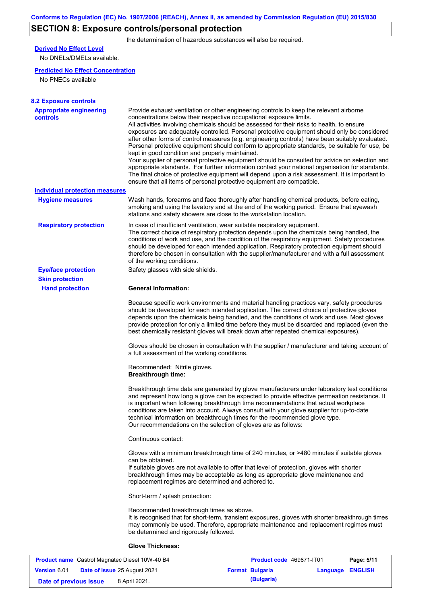# **SECTION 8: Exposure controls/personal protection**

the determination of hazardous substances will also be required.

# **Derived No Effect Level**

No DNELs/DMELs available.

### **Predicted No Effect Concentration**

No PNECs available

| <b>8.2 Exposure controls</b><br><b>Appropriate engineering</b> |                                                                                                                                                                                                                                                                                                                                                                                                                                                                                                                                                                                                                                                                                                                                                                                                                                                                                                                                                                                                         |
|----------------------------------------------------------------|---------------------------------------------------------------------------------------------------------------------------------------------------------------------------------------------------------------------------------------------------------------------------------------------------------------------------------------------------------------------------------------------------------------------------------------------------------------------------------------------------------------------------------------------------------------------------------------------------------------------------------------------------------------------------------------------------------------------------------------------------------------------------------------------------------------------------------------------------------------------------------------------------------------------------------------------------------------------------------------------------------|
| <b>controls</b>                                                | Provide exhaust ventilation or other engineering controls to keep the relevant airborne<br>concentrations below their respective occupational exposure limits.<br>All activities involving chemicals should be assessed for their risks to health, to ensure<br>exposures are adequately controlled. Personal protective equipment should only be considered<br>after other forms of control measures (e.g. engineering controls) have been suitably evaluated.<br>Personal protective equipment should conform to appropriate standards, be suitable for use, be<br>kept in good condition and properly maintained.<br>Your supplier of personal protective equipment should be consulted for advice on selection and<br>appropriate standards. For further information contact your national organisation for standards.<br>The final choice of protective equipment will depend upon a risk assessment. It is important to<br>ensure that all items of personal protective equipment are compatible. |
| <b>Individual protection measures</b>                          |                                                                                                                                                                                                                                                                                                                                                                                                                                                                                                                                                                                                                                                                                                                                                                                                                                                                                                                                                                                                         |
| <b>Hygiene measures</b>                                        | Wash hands, forearms and face thoroughly after handling chemical products, before eating,<br>smoking and using the lavatory and at the end of the working period. Ensure that eyewash<br>stations and safety showers are close to the workstation location.                                                                                                                                                                                                                                                                                                                                                                                                                                                                                                                                                                                                                                                                                                                                             |
| <b>Respiratory protection</b>                                  | In case of insufficient ventilation, wear suitable respiratory equipment.<br>The correct choice of respiratory protection depends upon the chemicals being handled, the<br>conditions of work and use, and the condition of the respiratory equipment. Safety procedures<br>should be developed for each intended application. Respiratory protection equipment should<br>therefore be chosen in consultation with the supplier/manufacturer and with a full assessment<br>of the working conditions.                                                                                                                                                                                                                                                                                                                                                                                                                                                                                                   |
| <b>Eye/face protection</b>                                     | Safety glasses with side shields.                                                                                                                                                                                                                                                                                                                                                                                                                                                                                                                                                                                                                                                                                                                                                                                                                                                                                                                                                                       |
| <b>Skin protection</b>                                         |                                                                                                                                                                                                                                                                                                                                                                                                                                                                                                                                                                                                                                                                                                                                                                                                                                                                                                                                                                                                         |
| <b>Hand protection</b>                                         | <b>General Information:</b>                                                                                                                                                                                                                                                                                                                                                                                                                                                                                                                                                                                                                                                                                                                                                                                                                                                                                                                                                                             |
|                                                                | Because specific work environments and material handling practices vary, safety procedures<br>should be developed for each intended application. The correct choice of protective gloves<br>depends upon the chemicals being handled, and the conditions of work and use. Most gloves<br>provide protection for only a limited time before they must be discarded and replaced (even the<br>best chemically resistant gloves will break down after repeated chemical exposures).                                                                                                                                                                                                                                                                                                                                                                                                                                                                                                                        |
|                                                                | Gloves should be chosen in consultation with the supplier / manufacturer and taking account of<br>a full assessment of the working conditions.                                                                                                                                                                                                                                                                                                                                                                                                                                                                                                                                                                                                                                                                                                                                                                                                                                                          |
|                                                                | Recommended: Nitrile gloves.<br><b>Breakthrough time:</b>                                                                                                                                                                                                                                                                                                                                                                                                                                                                                                                                                                                                                                                                                                                                                                                                                                                                                                                                               |
|                                                                | Breakthrough time data are generated by glove manufacturers under laboratory test conditions<br>and represent how long a glove can be expected to provide effective permeation resistance. It<br>is important when following breakthrough time recommendations that actual workplace<br>conditions are taken into account. Always consult with your glove supplier for up-to-date<br>technical information on breakthrough times for the recommended glove type.<br>Our recommendations on the selection of gloves are as follows:                                                                                                                                                                                                                                                                                                                                                                                                                                                                      |
|                                                                | Continuous contact:                                                                                                                                                                                                                                                                                                                                                                                                                                                                                                                                                                                                                                                                                                                                                                                                                                                                                                                                                                                     |
|                                                                | Gloves with a minimum breakthrough time of 240 minutes, or >480 minutes if suitable gloves<br>can be obtained.<br>If suitable gloves are not available to offer that level of protection, gloves with shorter<br>breakthrough times may be acceptable as long as appropriate glove maintenance and<br>replacement regimes are determined and adhered to.                                                                                                                                                                                                                                                                                                                                                                                                                                                                                                                                                                                                                                                |
|                                                                | Short-term / splash protection:                                                                                                                                                                                                                                                                                                                                                                                                                                                                                                                                                                                                                                                                                                                                                                                                                                                                                                                                                                         |
|                                                                | Recommended breakthrough times as above.<br>It is recognised that for short-term, transient exposures, gloves with shorter breakthrough times<br>may commonly be used. Therefore, appropriate maintenance and replacement regimes must<br>be determined and rigorously followed.                                                                                                                                                                                                                                                                                                                                                                                                                                                                                                                                                                                                                                                                                                                        |
|                                                                | <b>Glove Thickness:</b>                                                                                                                                                                                                                                                                                                                                                                                                                                                                                                                                                                                                                                                                                                                                                                                                                                                                                                                                                                                 |

|                        | <b>Product name</b> Castrol Magnatec Diesel 10W-40 B4 | Product code 469871-IT01 |                         | Page: 5/11 |
|------------------------|-------------------------------------------------------|--------------------------|-------------------------|------------|
| <b>Version 6.01</b>    | <b>Date of issue 25 August 2021</b>                   | <b>Format Bulgaria</b>   | <b>Language ENGLISH</b> |            |
| Date of previous issue | 8 April 2021.                                         | (Bulgaria)               |                         |            |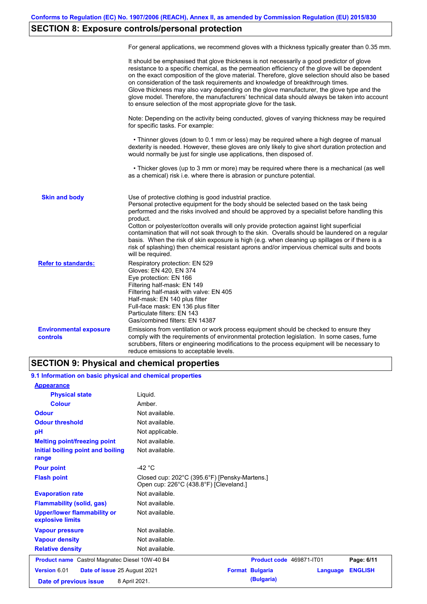# **SECTION 8: Exposure controls/personal protection**

|                                           | For general applications, we recommend gloves with a thickness typically greater than 0.35 mm.                                                                                                                                                                                                                                                                                                                                                                                                                                                                                                                                                                                        |
|-------------------------------------------|---------------------------------------------------------------------------------------------------------------------------------------------------------------------------------------------------------------------------------------------------------------------------------------------------------------------------------------------------------------------------------------------------------------------------------------------------------------------------------------------------------------------------------------------------------------------------------------------------------------------------------------------------------------------------------------|
|                                           | It should be emphasised that glove thickness is not necessarily a good predictor of glove<br>resistance to a specific chemical, as the permeation efficiency of the glove will be dependent<br>on the exact composition of the glove material. Therefore, glove selection should also be based<br>on consideration of the task requirements and knowledge of breakthrough times.<br>Glove thickness may also vary depending on the glove manufacturer, the glove type and the<br>glove model. Therefore, the manufacturers' technical data should always be taken into account<br>to ensure selection of the most appropriate glove for the task.                                     |
|                                           | Note: Depending on the activity being conducted, gloves of varying thickness may be required<br>for specific tasks. For example:                                                                                                                                                                                                                                                                                                                                                                                                                                                                                                                                                      |
|                                           | • Thinner gloves (down to 0.1 mm or less) may be required where a high degree of manual<br>dexterity is needed. However, these gloves are only likely to give short duration protection and<br>would normally be just for single use applications, then disposed of.                                                                                                                                                                                                                                                                                                                                                                                                                  |
|                                           | • Thicker gloves (up to 3 mm or more) may be required where there is a mechanical (as well<br>as a chemical) risk i.e. where there is abrasion or puncture potential.                                                                                                                                                                                                                                                                                                                                                                                                                                                                                                                 |
| <b>Skin and body</b>                      | Use of protective clothing is good industrial practice.<br>Personal protective equipment for the body should be selected based on the task being<br>performed and the risks involved and should be approved by a specialist before handling this<br>product.<br>Cotton or polyester/cotton overalls will only provide protection against light superficial<br>contamination that will not soak through to the skin. Overalls should be laundered on a regular<br>basis. When the risk of skin exposure is high (e.g. when cleaning up spillages or if there is a<br>risk of splashing) then chemical resistant aprons and/or impervious chemical suits and boots<br>will be required. |
| <b>Refer to standards:</b>                | Respiratory protection: EN 529<br>Gloves: EN 420, EN 374<br>Eye protection: EN 166<br>Filtering half-mask: EN 149<br>Filtering half-mask with valve: EN 405<br>Half-mask: EN 140 plus filter<br>Full-face mask: EN 136 plus filter<br>Particulate filters: EN 143<br>Gas/combined filters: EN 14387                                                                                                                                                                                                                                                                                                                                                                                   |
| <b>Environmental exposure</b><br>controls | Emissions from ventilation or work process equipment should be checked to ensure they<br>comply with the requirements of environmental protection legislation. In some cases, fume<br>scrubbers, filters or engineering modifications to the process equipment will be necessary to<br>reduce emissions to acceptable levels.                                                                                                                                                                                                                                                                                                                                                         |

# **SECTION 9: Physical and chemical properties**

| 9.1 Information on basic physical and chemical properties |                                                                                         |
|-----------------------------------------------------------|-----------------------------------------------------------------------------------------|
| <b>Appearance</b>                                         |                                                                                         |
| <b>Physical state</b>                                     | Liquid.                                                                                 |
| <b>Colour</b>                                             | Amber.                                                                                  |
| <b>Odour</b>                                              | Not available.                                                                          |
| <b>Odour threshold</b>                                    | Not available.                                                                          |
| pH                                                        | Not applicable.                                                                         |
| <b>Melting point/freezing point</b>                       | Not available.                                                                          |
| Initial boiling point and boiling<br>range                | Not available.                                                                          |
| <b>Pour point</b>                                         | $-42$ °C                                                                                |
| <b>Flash point</b>                                        | Closed cup: 202°C (395.6°F) [Pensky-Martens.]<br>Open cup: 226°C (438.8°F) [Cleveland.] |
| <b>Evaporation rate</b>                                   | Not available.                                                                          |
| <b>Flammability (solid, gas)</b>                          | Not available.                                                                          |
| <b>Upper/lower flammability or</b><br>explosive limits    | Not available.                                                                          |
| <b>Vapour pressure</b>                                    | Not available.                                                                          |
| <b>Vapour density</b>                                     | Not available.                                                                          |
| <b>Relative density</b>                                   | Not available.                                                                          |
| <b>Product name</b> Castrol Magnatec Diesel 10W-40 B4     | Product code 469871-IT01<br>Page: 6/11                                                  |
| Version 6.01<br>Date of issue 25 August 2021              | <b>ENGLISH</b><br><b>Format Bulgaria</b><br>Language                                    |
| Date of previous issue                                    | (Bulgaria)<br>8 April 2021.                                                             |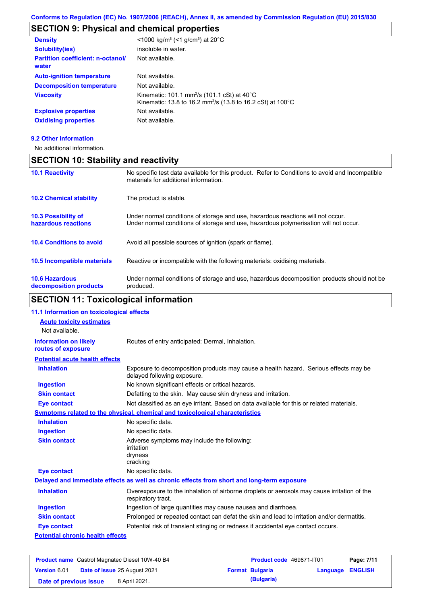# **SECTION 9: Physical and chemical properties**

| <b>Density</b>                                    | <1000 kg/m <sup>3</sup> (<1 g/cm <sup>3</sup> ) at 20 <sup>°</sup> C                                                                          |
|---------------------------------------------------|-----------------------------------------------------------------------------------------------------------------------------------------------|
| <b>Solubility(ies)</b>                            | insoluble in water.                                                                                                                           |
| <b>Partition coefficient: n-octanol/</b><br>water | Not available.                                                                                                                                |
| <b>Auto-ignition temperature</b>                  | Not available.                                                                                                                                |
| <b>Decomposition temperature</b>                  | Not available.                                                                                                                                |
| <b>Viscosity</b>                                  | Kinematic: 101.1 mm <sup>2</sup> /s (101.1 cSt) at 40 $^{\circ}$ C<br>Kinematic: 13.8 to 16.2 mm <sup>2</sup> /s (13.8 to 16.2 cSt) at 100 °C |
| <b>Explosive properties</b>                       | Not available.                                                                                                                                |
| <b>Oxidising properties</b>                       | Not available.                                                                                                                                |

#### **9.2 Other information**

No additional information.

## **SECTION 10: Stability and reactivity**

| <b>10.1 Reactivity</b>                            | No specific test data available for this product. Refer to Conditions to avoid and Incompatible<br>materials for additional information.                                |
|---------------------------------------------------|-------------------------------------------------------------------------------------------------------------------------------------------------------------------------|
| <b>10.2 Chemical stability</b>                    | The product is stable.                                                                                                                                                  |
| <b>10.3 Possibility of</b><br>hazardous reactions | Under normal conditions of storage and use, hazardous reactions will not occur.<br>Under normal conditions of storage and use, hazardous polymerisation will not occur. |
| <b>10.4 Conditions to avoid</b>                   | Avoid all possible sources of ignition (spark or flame).                                                                                                                |
| <b>10.5 Incompatible materials</b>                | Reactive or incompatible with the following materials: oxidising materials.                                                                                             |
| <b>10.6 Hazardous</b><br>decomposition products   | Under normal conditions of storage and use, hazardous decomposition products should not be<br>produced.                                                                 |

# **SECTION 11: Toxicological information**

| 11.1 Information on toxicological effects                                    |                                                                                                                     |  |  |
|------------------------------------------------------------------------------|---------------------------------------------------------------------------------------------------------------------|--|--|
| <b>Acute toxicity estimates</b>                                              |                                                                                                                     |  |  |
| Not available.                                                               |                                                                                                                     |  |  |
| <b>Information on likely</b><br>routes of exposure                           | Routes of entry anticipated: Dermal, Inhalation.                                                                    |  |  |
| <b>Potential acute health effects</b>                                        |                                                                                                                     |  |  |
| <b>Inhalation</b>                                                            | Exposure to decomposition products may cause a health hazard. Serious effects may be<br>delayed following exposure. |  |  |
| <b>Ingestion</b>                                                             | No known significant effects or critical hazards.                                                                   |  |  |
| <b>Skin contact</b>                                                          | Defatting to the skin. May cause skin dryness and irritation.                                                       |  |  |
| <b>Eye contact</b>                                                           | Not classified as an eye irritant. Based on data available for this or related materials.                           |  |  |
| Symptoms related to the physical, chemical and toxicological characteristics |                                                                                                                     |  |  |
| <b>Inhalation</b>                                                            | No specific data.                                                                                                   |  |  |
| <b>Ingestion</b>                                                             | No specific data.                                                                                                   |  |  |
| <b>Skin contact</b>                                                          | Adverse symptoms may include the following:<br>irritation<br>dryness<br>cracking                                    |  |  |
| <b>Eye contact</b>                                                           | No specific data.                                                                                                   |  |  |
|                                                                              | Delayed and immediate effects as well as chronic effects from short and long-term exposure                          |  |  |
| <b>Inhalation</b>                                                            | Overexposure to the inhalation of airborne droplets or aerosols may cause irritation of the<br>respiratory tract.   |  |  |
| <b>Ingestion</b>                                                             | Ingestion of large quantities may cause nausea and diarrhoea.                                                       |  |  |
| <b>Skin contact</b>                                                          | Prolonged or repeated contact can defat the skin and lead to irritation and/or dermatitis.                          |  |  |
| <b>Eye contact</b>                                                           | Potential risk of transient stinging or redness if accidental eye contact occurs.                                   |  |  |
| <b>Potential chronic health effects</b>                                      |                                                                                                                     |  |  |

| <b>Product name</b> Castrol Magnatec Diesel 10W-40 B4 |  |                                     | Product code 469871-IT01 |                        | Page: 7/11              |  |
|-------------------------------------------------------|--|-------------------------------------|--------------------------|------------------------|-------------------------|--|
| <b>Version 6.01</b>                                   |  | <b>Date of issue 25 August 2021</b> |                          | <b>Format Bulgaria</b> | <b>Language ENGLISH</b> |  |
| Date of previous issue                                |  | 8 April 2021.                       |                          | (Bulgaria)             |                         |  |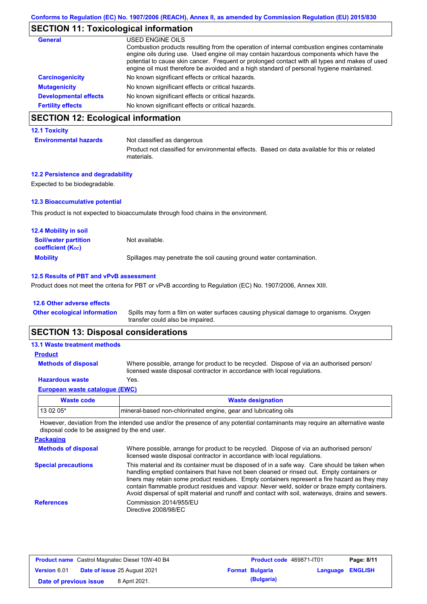## **SECTION 11: Toxicological information**

| <b>General</b>               | USED ENGINE OILS                                                                                                                                                                                                                                                                                                                                                                     |
|------------------------------|--------------------------------------------------------------------------------------------------------------------------------------------------------------------------------------------------------------------------------------------------------------------------------------------------------------------------------------------------------------------------------------|
|                              | Combustion products resulting from the operation of internal combustion engines contaminate<br>engine oils during use. Used engine oil may contain hazardous components which have the<br>potential to cause skin cancer. Frequent or prolonged contact with all types and makes of used<br>engine oil must therefore be avoided and a high standard of personal hygiene maintained. |
| <b>Carcinogenicity</b>       | No known significant effects or critical hazards.                                                                                                                                                                                                                                                                                                                                    |
| <b>Mutagenicity</b>          | No known significant effects or critical hazards.                                                                                                                                                                                                                                                                                                                                    |
| <b>Developmental effects</b> | No known significant effects or critical hazards.                                                                                                                                                                                                                                                                                                                                    |
| <b>Fertility effects</b>     | No known significant effects or critical hazards.                                                                                                                                                                                                                                                                                                                                    |

## **SECTION 12: Ecological information**

#### **12.1 Toxicity**

**Environmental hazards** Not classified as dangerous

Product not classified for environmental effects. Based on data available for this or related materials.

#### **12.2 Persistence and degradability**

Expected to be biodegradable.

### **12.3 Bioaccumulative potential**

This product is not expected to bioaccumulate through food chains in the environment.

| <b>12.4 Mobility in soil</b>                            |                                                                      |
|---------------------------------------------------------|----------------------------------------------------------------------|
| <b>Soil/water partition</b><br><b>coefficient (Koc)</b> | Not available.                                                       |
| <b>Mobility</b>                                         | Spillages may penetrate the soil causing ground water contamination. |

#### **12.5 Results of PBT and vPvB assessment**

Product does not meet the criteria for PBT or vPvB according to Regulation (EC) No. 1907/2006, Annex XIII.

#### **12.6 Other adverse effects**

Spills may form a film on water surfaces causing physical damage to organisms. Oxygen transfer could also be impaired. **Other ecological information**

### **SECTION 13: Disposal considerations**

| <b>13.1 Waste treatment methods</b> |                                                                                                                                                                      |
|-------------------------------------|----------------------------------------------------------------------------------------------------------------------------------------------------------------------|
| <b>Product</b>                      |                                                                                                                                                                      |
| <b>Methods of disposal</b>          | Where possible, arrange for product to be recycled. Dispose of via an authorised person/<br>licensed waste disposal contractor in accordance with local regulations. |
| <b>Hazardous waste</b>              | Yes.                                                                                                                                                                 |
| European waste catalogue (EWC)      |                                                                                                                                                                      |

| Waste code | <b>Waste designation</b>                                         |
|------------|------------------------------------------------------------------|
| $130205*$  | Imineral-based non-chlorinated engine, gear and lubricating oils |

**Packaging** However, deviation from the intended use and/or the presence of any potential contaminants may require an alternative waste disposal code to be assigned by the end user.

| Packaging                  |                                                                                                                                                                                                                                                                                                                                                                                                                                                                                                 |
|----------------------------|-------------------------------------------------------------------------------------------------------------------------------------------------------------------------------------------------------------------------------------------------------------------------------------------------------------------------------------------------------------------------------------------------------------------------------------------------------------------------------------------------|
| <b>Methods of disposal</b> | Where possible, arrange for product to be recycled. Dispose of via an authorised person/<br>licensed waste disposal contractor in accordance with local regulations.                                                                                                                                                                                                                                                                                                                            |
| <b>Special precautions</b> | This material and its container must be disposed of in a safe way. Care should be taken when<br>handling emptied containers that have not been cleaned or rinsed out. Empty containers or<br>liners may retain some product residues. Empty containers represent a fire hazard as they may<br>contain flammable product residues and vapour. Never weld, solder or braze empty containers.<br>Avoid dispersal of spilt material and runoff and contact with soil, waterways, drains and sewers. |
| <b>References</b>          | Commission 2014/955/EU<br>Directive 2008/98/EC                                                                                                                                                                                                                                                                                                                                                                                                                                                  |

| <b>Product name</b> Castrol Magnatec Diesel 10W-40 B4 |  |                                     | Product code 469871-IT01 | Page: 8/11             |                         |  |
|-------------------------------------------------------|--|-------------------------------------|--------------------------|------------------------|-------------------------|--|
| <b>Version 6.01</b>                                   |  | <b>Date of issue 25 August 2021</b> |                          | <b>Format Bulgaria</b> | <b>Language ENGLISH</b> |  |
| Date of previous issue                                |  | 8 April 2021.                       |                          | (Bulgaria)             |                         |  |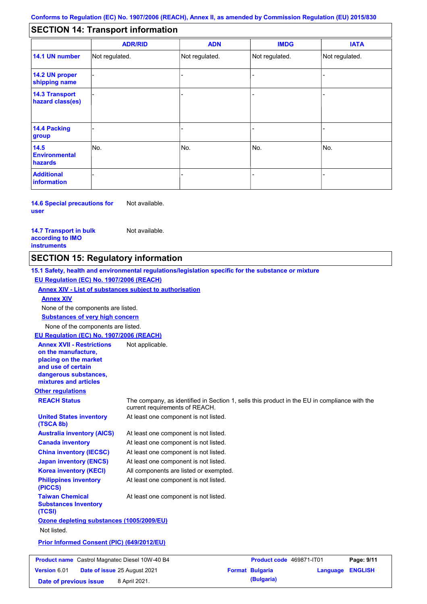#### - - - - - - - - - Not regulated. Not regulated. Not regulated. - - - **SECTION 14: Transport information ADR/RID IMDG IATA 14.1 UN number 14.2 UN proper shipping name 14.3 Transport hazard class(es) 14.4 Packing group ADN Additional information 14.5 Environmental hazards** No. 1988 | No. 1989 | No. 1989 | No. 1989 | No. 1989 | No. 1989 | No. 1989 | No. 1989 | No. 1989 | No. 1989 | Not regulated. - -<br>No. - -

**14.6 Special precautions for user** Not available.

**14.7 Transport in bulk according to IMO instruments**

Not available.

### **SECTION 15: Regulatory information**

**Other regulations REACH Status** The company, as identified in Section 1, sells this product in the EU in compliance with the current requirements of REACH. **15.1 Safety, health and environmental regulations/legislation specific for the substance or mixture EU Regulation (EC) No. 1907/2006 (REACH) Annex XIV - List of substances subject to authorisation Substances of very high concern** None of the components are listed. At least one component is not listed. At least one component is not listed. At least one component is not listed. At least one component is not listed. At least one component is not listed. All components are listed or exempted. At least one component is not listed. **United States inventory (TSCA 8b) Australia inventory (AICS) Canada inventory China inventory (IECSC) Japan inventory (ENCS) Korea inventory (KECI) Philippines inventory (PICCS) Taiwan Chemical Substances Inventory (TCSI)** At least one component is not listed. **Ozone depleting substances (1005/2009/EU)** Not listed. **Prior Informed Consent (PIC) (649/2012/EU)** None of the components are listed. **Annex XIV EU Regulation (EC) No. 1907/2006 (REACH) Annex XVII - Restrictions on the manufacture, placing on the market and use of certain dangerous substances, mixtures and articles** Not applicable. **Product name** Castrol Magnatec Diesel 10W-40 B4 **Product Code 469871-IT01 Page: 9/11** | **Version** 6.01 **Date of issue** 25 August 2021 **Format Bulgaria Language ENGLISH**

**Date of previous issue** 8 April 2021.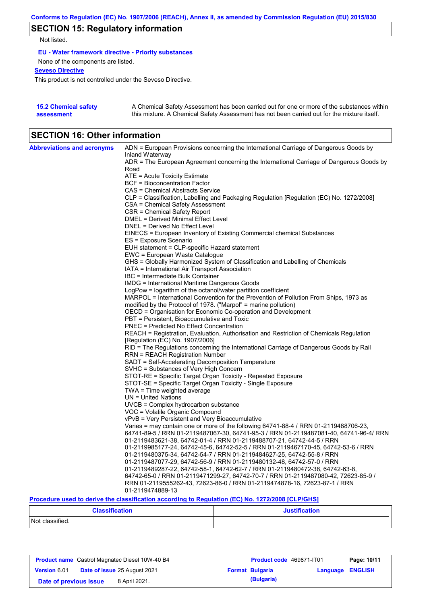# **SECTION 15: Regulatory information**

Not listed.

**EU - Water framework directive - Priority substances**

None of the components are listed.

**Seveso Directive**

This product is not controlled under the Seveso Directive.

| <b>15.2 Chemical safety</b> | A Chemical Safety Assessment has been carried out for one or more of the substances within  |
|-----------------------------|---------------------------------------------------------------------------------------------|
| assessment                  | this mixture. A Chemical Safety Assessment has not been carried out for the mixture itself. |

## **SECTION 16: Other information**

| <b>Abbreviations and acronyms</b> | ADN = European Provisions concerning the International Carriage of Dangerous Goods by                  |
|-----------------------------------|--------------------------------------------------------------------------------------------------------|
|                                   | Inland Waterway                                                                                        |
|                                   | ADR = The European Agreement concerning the International Carriage of Dangerous Goods by<br>Road       |
|                                   | ATE = Acute Toxicity Estimate                                                                          |
|                                   | <b>BCF</b> = Bioconcentration Factor                                                                   |
|                                   | CAS = Chemical Abstracts Service                                                                       |
|                                   | CLP = Classification, Labelling and Packaging Regulation [Regulation (EC) No. 1272/2008]               |
|                                   | CSA = Chemical Safety Assessment                                                                       |
|                                   | CSR = Chemical Safety Report                                                                           |
|                                   | <b>DMEL = Derived Minimal Effect Level</b>                                                             |
|                                   | DNEL = Derived No Effect Level                                                                         |
|                                   | EINECS = European Inventory of Existing Commercial chemical Substances                                 |
|                                   | ES = Exposure Scenario                                                                                 |
|                                   | EUH statement = CLP-specific Hazard statement                                                          |
|                                   | EWC = European Waste Catalogue                                                                         |
|                                   | GHS = Globally Harmonized System of Classification and Labelling of Chemicals                          |
|                                   | IATA = International Air Transport Association                                                         |
|                                   | IBC = Intermediate Bulk Container                                                                      |
|                                   | <b>IMDG = International Maritime Dangerous Goods</b>                                                   |
|                                   | LogPow = logarithm of the octanol/water partition coefficient                                          |
|                                   | MARPOL = International Convention for the Prevention of Pollution From Ships, 1973 as                  |
|                                   | modified by the Protocol of 1978. ("Marpol" = marine pollution)                                        |
|                                   | OECD = Organisation for Economic Co-operation and Development                                          |
|                                   | PBT = Persistent, Bioaccumulative and Toxic                                                            |
|                                   | <b>PNEC = Predicted No Effect Concentration</b>                                                        |
|                                   | REACH = Registration, Evaluation, Authorisation and Restriction of Chemicals Regulation                |
|                                   | [Regulation (EC) No. 1907/2006]                                                                        |
|                                   | RID = The Regulations concerning the International Carriage of Dangerous Goods by Rail                 |
|                                   | <b>RRN = REACH Registration Number</b>                                                                 |
|                                   | SADT = Self-Accelerating Decomposition Temperature                                                     |
|                                   | SVHC = Substances of Very High Concern<br>STOT-RE = Specific Target Organ Toxicity - Repeated Exposure |
|                                   | STOT-SE = Specific Target Organ Toxicity - Single Exposure                                             |
|                                   | TWA = Time weighted average                                                                            |
|                                   | $UN = United Nations$                                                                                  |
|                                   | $UVCB = Complex\ hydrocarbon\ substance$                                                               |
|                                   | VOC = Volatile Organic Compound                                                                        |
|                                   | vPvB = Very Persistent and Very Bioaccumulative                                                        |
|                                   | Varies = may contain one or more of the following 64741-88-4 / RRN 01-2119488706-23,                   |
|                                   | 64741-89-5 / RRN 01-2119487067-30, 64741-95-3 / RRN 01-2119487081-40, 64741-96-4/ RRN                  |
|                                   | 01-2119483621-38, 64742-01-4 / RRN 01-2119488707-21, 64742-44-5 / RRN                                  |
|                                   | 01-2119985177-24, 64742-45-6, 64742-52-5 / RRN 01-2119467170-45, 64742-53-6 / RRN                      |
|                                   | 01-2119480375-34, 64742-54-7 / RRN 01-2119484627-25, 64742-55-8 / RRN                                  |
|                                   | 01-2119487077-29, 64742-56-9 / RRN 01-2119480132-48, 64742-57-0 / RRN                                  |
|                                   | 01-2119489287-22, 64742-58-1, 64742-62-7 / RRN 01-2119480472-38, 64742-63-8,                           |
|                                   | 64742-65-0 / RRN 01-2119471299-27, 64742-70-7 / RRN 01-2119487080-42, 72623-85-9 /                     |
|                                   | RRN 01-2119555262-43, 72623-86-0 / RRN 01-2119474878-16, 72623-87-1 / RRN                              |
|                                   | 01-2119474889-13                                                                                       |
|                                   | $\sim$ 1.000 $\sim$ $\sim$ 4.000 $\sim$ $\sim$ $\sim$ $\sim$                                           |

**Procedure used to derive the classification according to Regulation (EC) No. 1272/2008 [CLP/GHS]**

| <b>Classification</b> | <b>Justification</b> |  |  |  |
|-----------------------|----------------------|--|--|--|
| Not classified.       |                      |  |  |  |

| <b>Product name</b> Castrol Magnatec Diesel 10W-40 B4 |  |                                     | <b>Product code</b> 469871-IT01 | Page: 10/11            |                         |  |
|-------------------------------------------------------|--|-------------------------------------|---------------------------------|------------------------|-------------------------|--|
| <b>Version 6.01</b>                                   |  | <b>Date of issue 25 August 2021</b> |                                 | <b>Format Bulgaria</b> | <b>Language ENGLISH</b> |  |
| Date of previous issue                                |  | 8 April 2021.                       |                                 | (Bulgaria)             |                         |  |